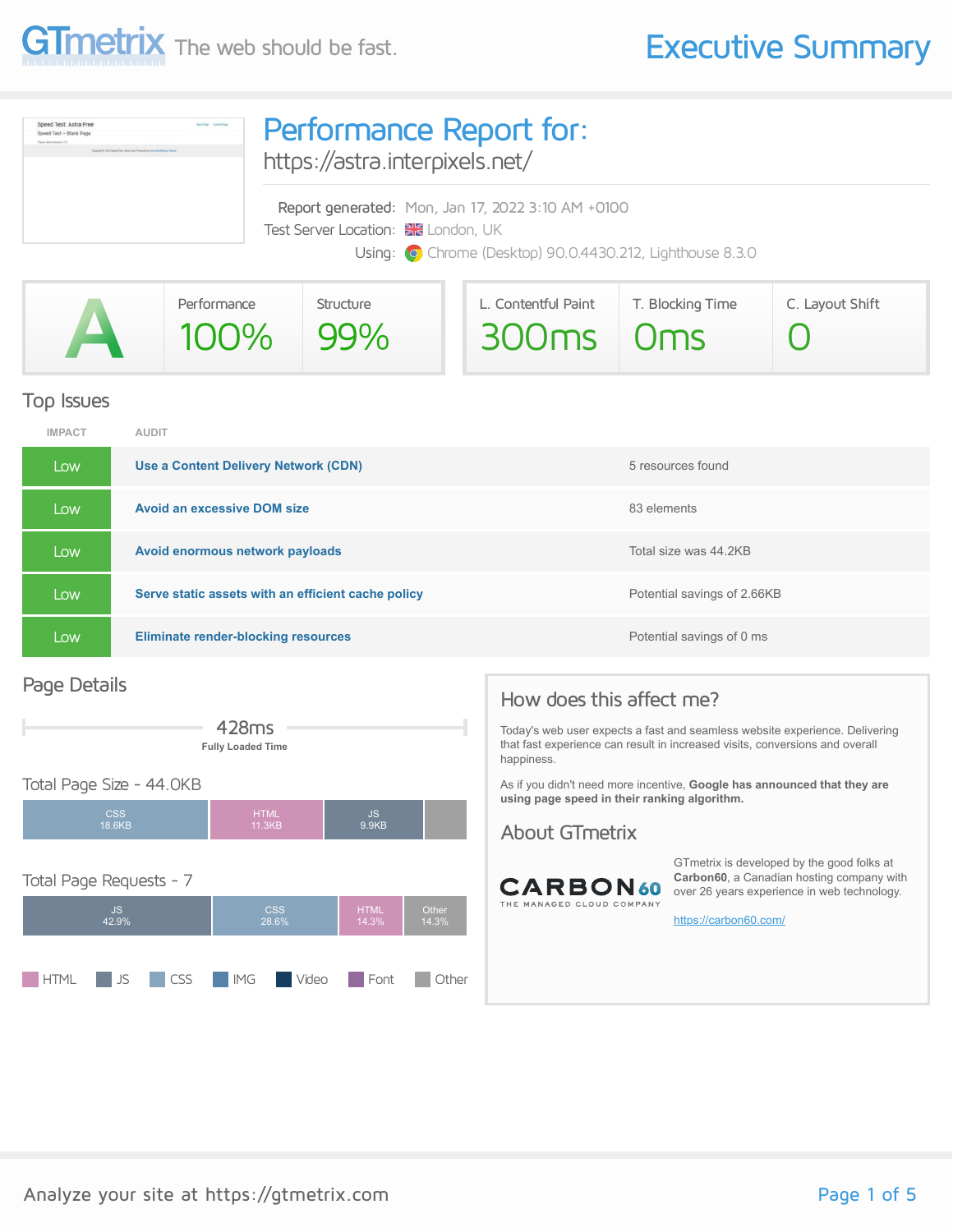

| Speed Test: Astra Free<br><b>Baltima</b> Symphony<br>Speed Test - Blank Page<br>Dealers Scolar Herming, 3-74<br>contact # 2012 Second Text (driller) President Progress to Anti- March Prince Theri | Performance Report for:<br>https://astra.interpixels.net/                                                                                                    |  |  |  |
|-----------------------------------------------------------------------------------------------------------------------------------------------------------------------------------------------------|--------------------------------------------------------------------------------------------------------------------------------------------------------------|--|--|--|
|                                                                                                                                                                                                     | Report generated: Mon, Jan 17, 2022 3:10 AM +0100<br>Test Server Location: <b>XX</b> London, UK<br>Using: O Chrome (Desktop) 90.0.4430.212, Lighthouse 8.3.0 |  |  |  |

|               | Performance | <b>Structure</b> | L. Contentful Paint | T. Blocking Time | C. Layout Shift |
|---------------|-------------|------------------|---------------------|------------------|-----------------|
| $\mathcal{L}$ | $100\%$     | $\mid$ 99%       | 300ms 0ms           |                  |                 |

#### Top Issues

| <b>IMPACT</b> | <b>AUDIT</b>                                       |                             |
|---------------|----------------------------------------------------|-----------------------------|
| Low           | Use a Content Delivery Network (CDN)               | 5 resources found           |
| Low           | <b>Avoid an excessive DOM size</b>                 | 83 elements                 |
| Low           | Avoid enormous network payloads                    | Total size was 44.2KB       |
| Low           | Serve static assets with an efficient cache policy | Potential savings of 2.66KB |
| Low           | <b>Eliminate render-blocking resources</b>         | Potential savings of 0 ms   |

#### Page Details



#### Total Page Size - 44.0KB



### How does this affect me?

Today's web user expects a fast and seamless website experience. Delivering that fast experience can result in increased visits, conversions and overall happiness.

As if you didn't need more incentive, **Google has announced that they are using page speed in their ranking algorithm.**

#### About GTmetrix



GTmetrix is developed by the good folks at **Carbon60**, a Canadian hosting company with over 26 years experience in web technology.

<https://carbon60.com/>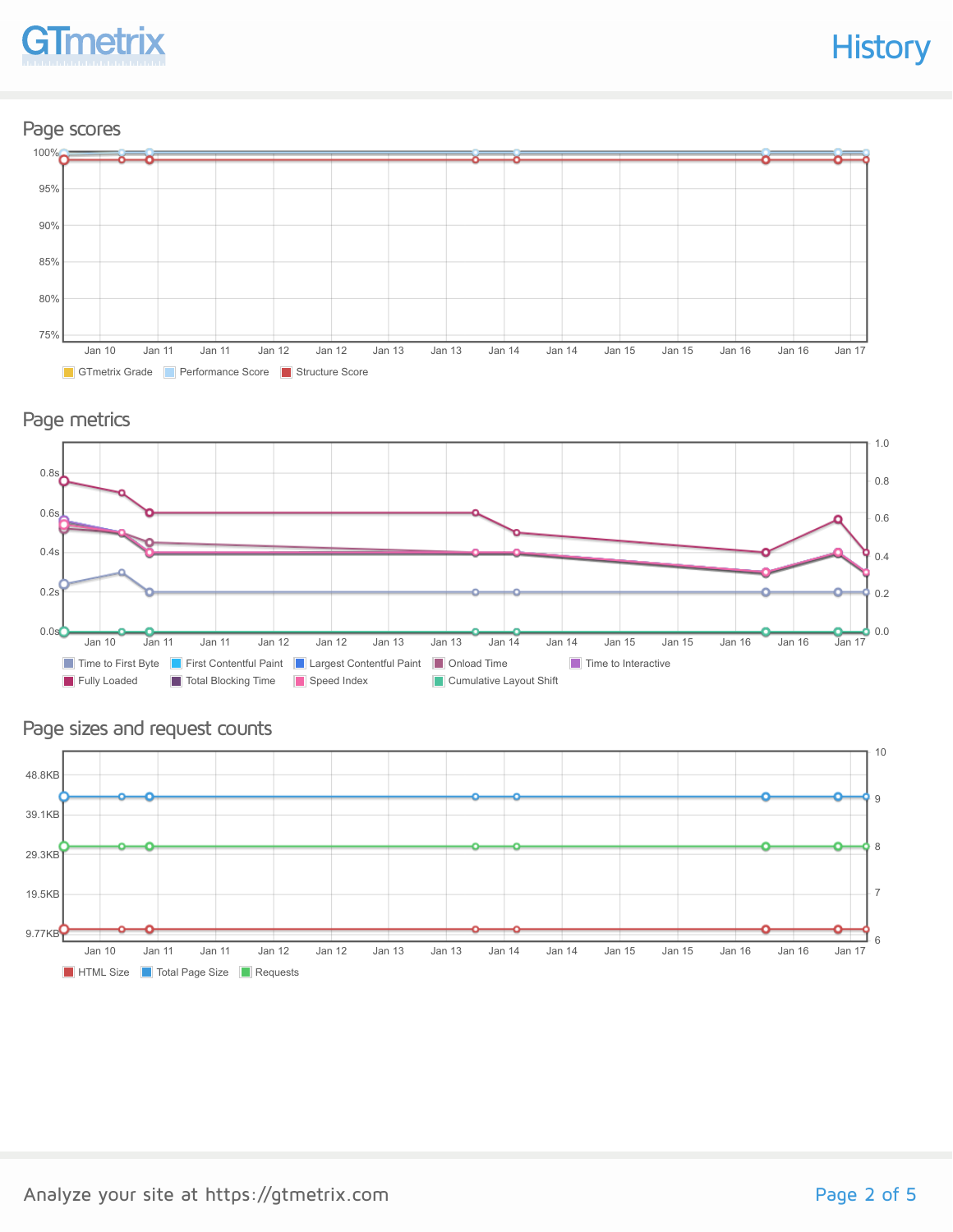

#### Page scores



#### Page metrics



#### Page sizes and request counts

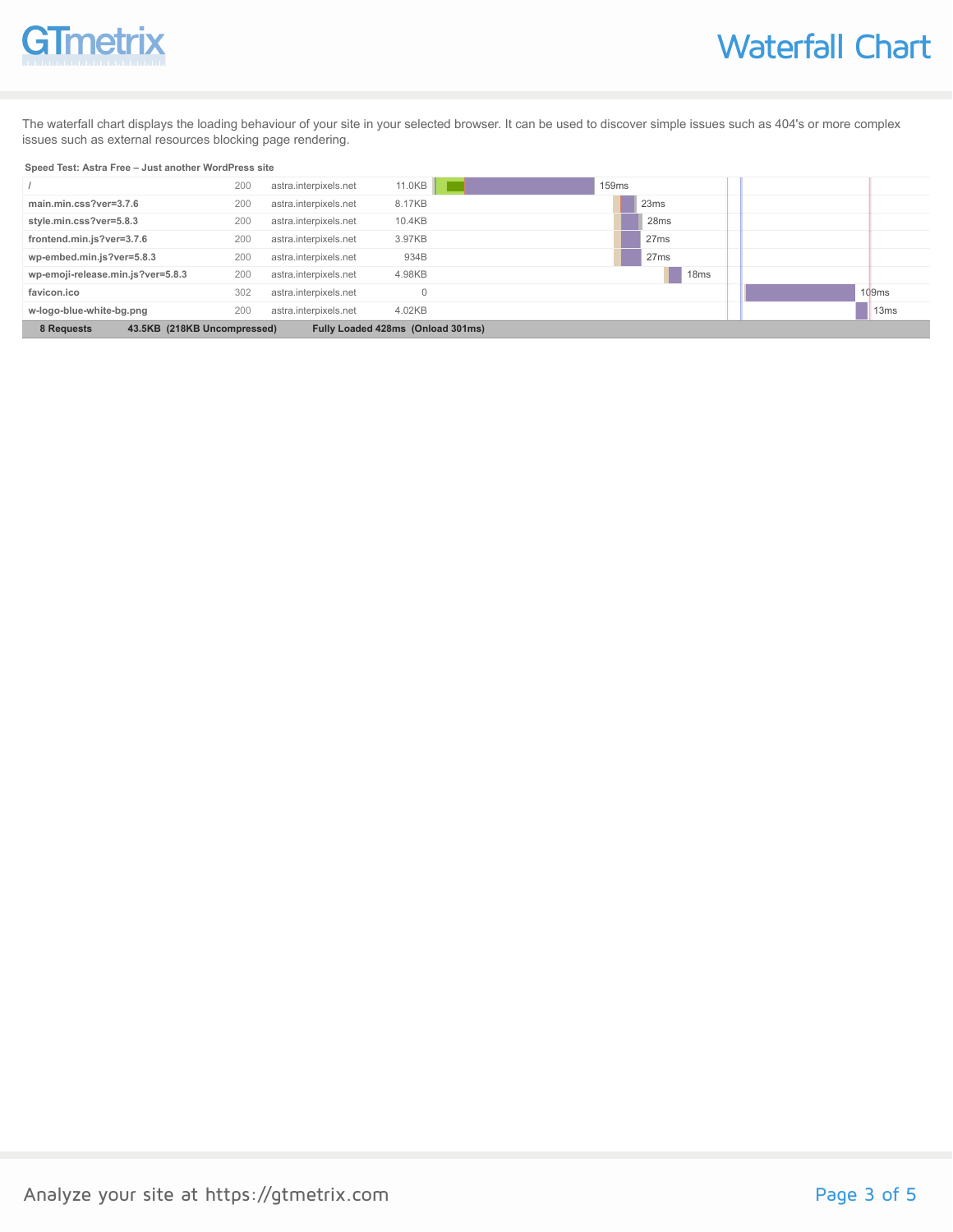# GTmetrix

The waterfall chart displays the loading behaviour of your site in your selected browser. It can be used to discover simple issues such as 404's or more complex issues such as external resources blocking page rendering.

#### **Speed Test: Astra Free – Just another WordPress site**

|                                                                                | 200 | astra.interpixels.net | 11.0KB | 159 <sub>ms</sub> |                  |
|--------------------------------------------------------------------------------|-----|-----------------------|--------|-------------------|------------------|
| main.min.css?ver=3.7.6                                                         | 200 | astra.interpixels.net | 8.17KB | 23ms              |                  |
| style.min.css?ver=5.8.3                                                        | 200 | astra.interpixels.net | 10.4KB | 28 <sub>ms</sub>  |                  |
| frontend.min.js?ver=3.7.6                                                      | 200 | astra.interpixels.net | 3.97KB | 27ms              |                  |
| wp-embed.min.js?ver=5.8.3                                                      | 200 | astra.interpixels.net | 934B   | 27ms              |                  |
| wp-emoji-release.min.js?ver=5.8.3                                              | 200 | astra.interpixels.net | 4.98KB | 18 <sub>ms</sub>  |                  |
| favicon.ico                                                                    | 302 | astra.interpixels.net |        |                   | 109ms            |
| w-logo-blue-white-bg.png                                                       | 200 | astra.interpixels.net | 4.02KB |                   | 13 <sub>ms</sub> |
| 8 Requests<br>Fully Loaded 428ms (Onload 301ms)<br>43.5KB (218KB Uncompressed) |     |                       |        |                   |                  |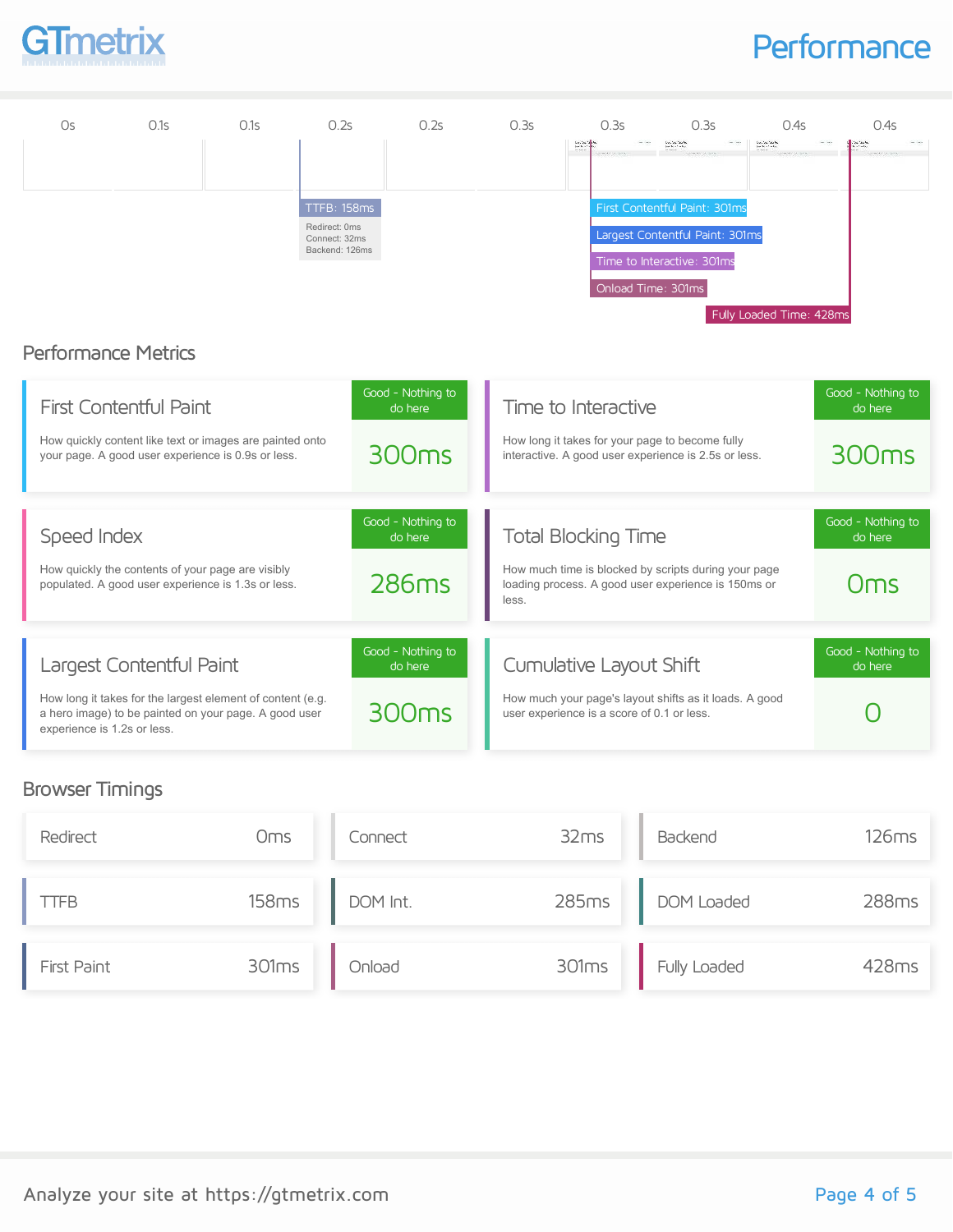

### **Performance**



#### Browser Timings

| Redirect           | Oms   | Connect  | 32ms | Backend            | 126ms |
|--------------------|-------|----------|------|--------------------|-------|
| TFB                | 158ms | DOM Int. |      | 285ms DOM Loaded   | 288ms |
| <b>First Paint</b> | 301ms | Onload   |      | 301ms Fully Loaded | 428ms |